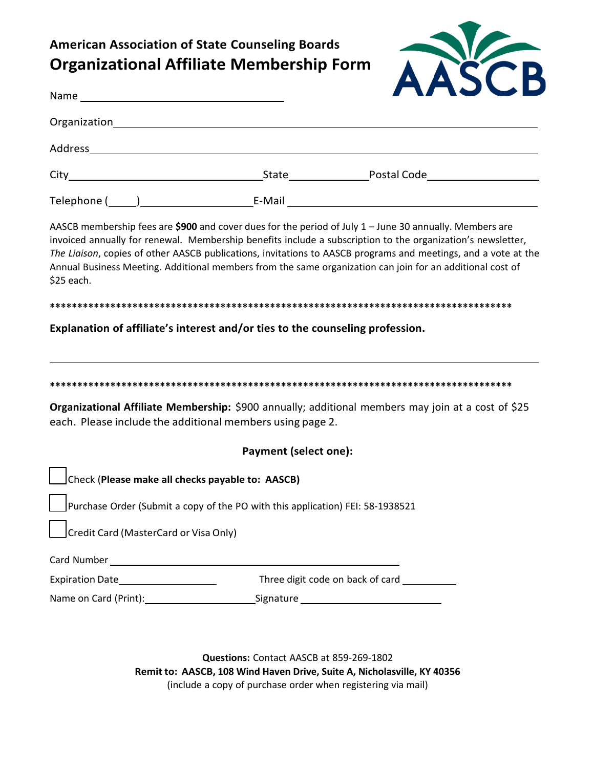## **American Association of State Counseling Boards Organizational Affiliate Membership Form**



| \$25 each.                                                                                                                                                                                                                     |                                                                                | AASCB membership fees are \$900 and cover dues for the period of July 1 - June 30 annually. Members are<br>invoiced annually for renewal. Membership benefits include a subscription to the organization's newsletter,<br>The Liaison, copies of other AASCB publications, invitations to AASCB programs and meetings, and a vote at the<br>Annual Business Meeting. Additional members from the same organization can join for an additional cost of |
|--------------------------------------------------------------------------------------------------------------------------------------------------------------------------------------------------------------------------------|--------------------------------------------------------------------------------|-------------------------------------------------------------------------------------------------------------------------------------------------------------------------------------------------------------------------------------------------------------------------------------------------------------------------------------------------------------------------------------------------------------------------------------------------------|
|                                                                                                                                                                                                                                |                                                                                |                                                                                                                                                                                                                                                                                                                                                                                                                                                       |
|                                                                                                                                                                                                                                | Explanation of affiliate's interest and/or ties to the counseling profession.  |                                                                                                                                                                                                                                                                                                                                                                                                                                                       |
|                                                                                                                                                                                                                                |                                                                                |                                                                                                                                                                                                                                                                                                                                                                                                                                                       |
| each. Please include the additional members using page 2.                                                                                                                                                                      |                                                                                | Organizational Affiliate Membership: \$900 annually; additional members may join at a cost of \$25                                                                                                                                                                                                                                                                                                                                                    |
|                                                                                                                                                                                                                                | <b>Payment (select one):</b>                                                   |                                                                                                                                                                                                                                                                                                                                                                                                                                                       |
| Check (Please make all checks payable to: AASCB)                                                                                                                                                                               |                                                                                |                                                                                                                                                                                                                                                                                                                                                                                                                                                       |
|                                                                                                                                                                                                                                | Purchase Order (Submit a copy of the PO with this application) FEI: 58-1938521 |                                                                                                                                                                                                                                                                                                                                                                                                                                                       |
| Credit Card (MasterCard or Visa Only)                                                                                                                                                                                          |                                                                                |                                                                                                                                                                                                                                                                                                                                                                                                                                                       |
| Card Number and the contract of the contract of the contract of the contract of the contract of the contract of the contract of the contract of the contract of the contract of the contract of the contract of the contract o |                                                                                |                                                                                                                                                                                                                                                                                                                                                                                                                                                       |
|                                                                                                                                                                                                                                |                                                                                | Three digit code on back of card                                                                                                                                                                                                                                                                                                                                                                                                                      |

Questions: Contact AASCB at 859-269-1802 Remit to: AASCB, 108 Wind Haven Drive, Suite A, Nicholasville, KY 40356 (include a copy of purchase order when registering via mail)